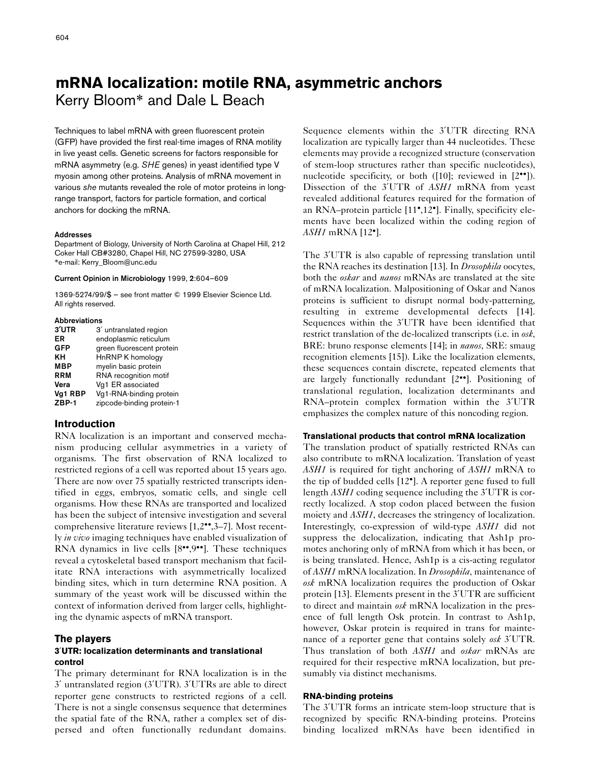# **mRNA localization: motile RNA, asymmetric anchors** Kerry Bloom\* and Dale L Beach

Techniques to label mRNA with green fluorescent protein (GFP) have provided the first real-time images of RNA motility in live yeast cells. Genetic screens for factors responsible for mRNA asymmetry (e.g. *SHE* genes) in yeast identified type V myosin among other proteins. Analysis of mRNA movement in various *she* mutants revealed the role of motor proteins in longrange transport, factors for particle formation, and cortical anchors for docking the mRNA.

#### **Addresses**

Department of Biology, University of North Carolina at Chapel Hill, 212 Coker Hall CB#3280, Chapel Hill, NC 27599-3280, USA \*e-mail: Kerry\_Bloom@unc.edu

#### **Current Opinion in Microbiology** 1999, **2**:604–609

1369-5274/99/\$ — see front matter © 1999 Elsevier Science Ltd. All rights reserved.

#### **Abbreviations**

| 3'UTR      | 3' untranslated region    |
|------------|---------------------------|
| ER         | endoplasmic reticulum     |
| <b>GFP</b> | green fluorescent protein |
| KΗ         | HnRNP K homology          |
| <b>MBP</b> | myelin basic protein      |
| <b>RRM</b> | RNA recognition motif     |
| Vera       | Vg1 ER associated         |
| Va1 RBP    | Vg1-RNA-binding protein   |
| $ZBP-1$    | zipcode-binding protein-1 |

## **Introduction**

RNA localization is an important and conserved mechanism producing cellular asymmetries in a variety of organisms. The first observation of RNA localized to restricted regions of a cell was reported about 15 years ago. There are now over 75 spatially restricted transcripts identified in eggs, embryos, somatic cells, and single cell organisms. How these RNAs are transported and localized has been the subject of intensive investigation and several comprehensive literature reviews [1,2••,3–7]. Most recently *in vivo* imaging techniques have enabled visualization of RNA dynamics in live cells [8••,9••]. These techniques reveal a cytoskeletal based transport mechanism that facilitate RNA interactions with asymmetrically localized binding sites, which in turn determine RNA position. A summary of the yeast work will be discussed within the context of information derived from larger cells, highlighting the dynamic aspects of mRNA transport.

## **The players**

## **3**′**UTR: localization determinants and translational control**

The primary determinant for RNA localization is in the 3′ untranslated region (3′UTR). 3′UTRs are able to direct reporter gene constructs to restricted regions of a cell. There is not a single consensus sequence that determines the spatial fate of the RNA, rather a complex set of dispersed and often functionally redundant domains.

Sequence elements within the 3′UTR directing RNA localization are typically larger than 44 nucleotides. These elements may provide a recognized structure (conservation of stem-loop structures rather than specific nucleotides), nucleotide specificity, or both ([10]; reviewed in [2<sup>••</sup>]). Dissection of the 3′UTR of *ASH1* mRNA from yeast revealed additional features required for the formation of an RNA–protein particle [11•,12•]. Finally, specificity elements have been localized within the coding region of *ASH1* mRNA [12•].

The 3′UTR is also capable of repressing translation until the RNA reaches its destination [13]. In *Drosophila* oocytes, both the *oskar* and *nanos* mRNAs are translated at the site of mRNA localization. Malpositioning of Oskar and Nanos proteins is sufficient to disrupt normal body-patterning, resulting in extreme developmental defects [14]. Sequences within the 3′UTR have been identified that restrict translation of the de-localized transcripts (i.e. in *osk*, BRE: bruno response elements [14]; in *nanos*, SRE: smaug recognition elements [15]). Like the localization elements, these sequences contain discrete, repeated elements that are largely functionally redundant [2••]. Positioning of translational regulation, localization determinants and RNA–protein complex formation within the 3′UTR emphasizes the complex nature of this noncoding region.

## **Translational products that control mRNA localization**

The translation product of spatially restricted RNAs can also contribute to mRNA localization. Translation of yeast *ASH1* is required for tight anchoring of *ASH1* mRNA to the tip of budded cells [12•]. A reporter gene fused to full length *ASH1* coding sequence including the 3′UTR is correctly localized. A stop codon placed between the fusion moiety and *ASH1*, decreases the stringency of localization. Interestingly, co-expression of wild-type *ASH1* did not suppress the delocalization, indicating that Ash1p promotes anchoring only of mRNA from which it has been, or is being translated. Hence, Ash1p is a cis-acting regulator of *ASH1* mRNA localization. In *Drosophila*, maintenance of *osk* mRNA localization requires the production of Oskar protein [13]. Elements present in the 3′UTR are sufficient to direct and maintain *osk* mRNA localization in the presence of full length Osk protein. In contrast to Ash1p, however, Oskar protein is required in trans for maintenance of a reporter gene that contains solely *osk* 3′UTR. Thus translation of both *ASH1* and *oskar* mRNAs are required for their respective mRNA localization, but presumably via distinct mechanisms.

## **RNA-binding proteins**

The 3′UTR forms an intricate stem-loop structure that is recognized by specific RNA-binding proteins. Proteins binding localized mRNAs have been identified in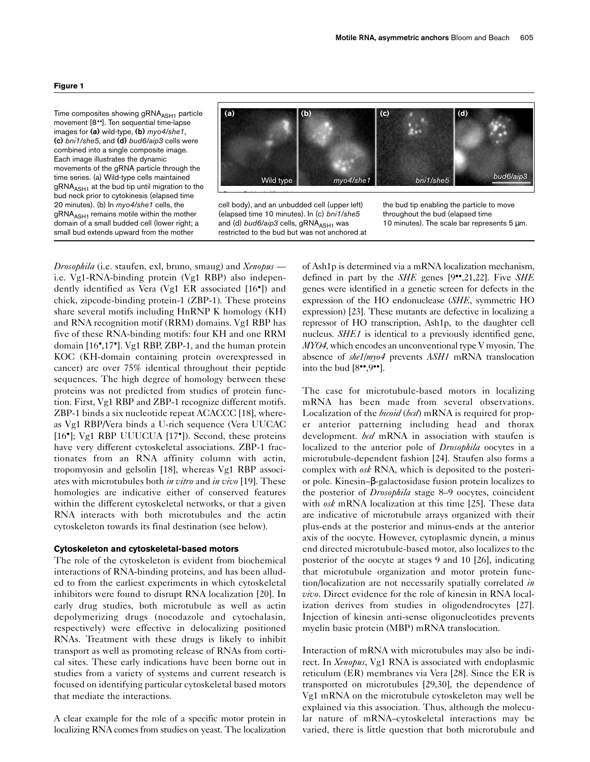Time composites showing gRNA<sub>ASH1</sub> particle movement [8••]. Ten sequential time-lapse images for **(a)** wild-type, **(b)** *myo4/she1*, **(c)** *bni1/she5*, and **(d)** *bud6/aip3* cells were combined into a single composite image. Each image illustrates the dynamic movements of the gRNA particle through the time series. (a) Wild-type cells maintained  $gRNA<sub>ASH1</sub>$  at the bud tip until migration to the bud neck prior to cytokinesis (elapsed time 20 minutes). (b) In *myo4/she1* cells, the gRNA<sub>ASH1</sub> remains motile within the mother domain of a small budded cell (lower right; a small bud extends upward from the mother



cell body), and an unbudded cell (upper left) (elapsed time 10 minutes). In (c) *bni1/she5* and (d) *bud6/aip3* cells, gRNA<sub>ASH1</sub> was restricted to the bud but was not anchored at the bud tip enabling the particle to move throughout the bud (elapsed time 10 minutes). The scale bar represents 5 µm.

*Drosophila* (i.e. staufen, exl, bruno, smaug) and *Xenopus* i.e. Vg1-RNA-binding protein (Vg1 RBP) also independently identified as Vera (Vg1 ER associated [16•]) and chick, zipcode-binding protein-1 (ZBP-1). These proteins share several motifs including HnRNP K homology (KH) and RNA recognition motif (RRM) domains. Vg1 RBP has five of these RNA-binding motifs: four KH and one RRM domain [16•,17•]. Vg1 RBP, ZBP-1, and the human protein KOC (KH-domain containing protein overexpressed in cancer) are over 75% identical throughout their peptide sequences. The high degree of homology between these proteins was not predicted from studies of protein function. First, Vg1 RBP and ZBP-1 recognize different motifs. ZBP-1 binds a six nucleotide repeat ACACCC [18], whereas Vg1 RBP/Vera binds a U-rich sequence (Vera UUCAC [16•]; Vg1 RBP UUUCUA [17•]). Second, these proteins have very different cytoskeletal associations. ZBP-1 fractionates from an RNA affinity column with actin, tropomyosin and gelsolin [18], whereas Vg1 RBP associates with microtubules both *in vitro* and *in vivo* [19]. These homologies are indicative either of conserved features within the different cytoskeletal networks, or that a given RNA interacts with both microtubules and the actin cytoskeleton towards its final destination (see below).

## **Cytoskeleton and cytoskeletal-based motors**

The role of the cytoskeleton is evident from biochemical interactions of RNA-binding proteins, and has been alluded to from the earliest experiments in which cytoskeletal inhibitors were found to disrupt RNA localization [20]. In early drug studies, both microtubule as well as actin depolymerizing drugs (nocodazole and cytochalasin, respectively) were effective in delocalizing positioned RNAs. Treatment with these drugs is likely to inhibit transport as well as promoting release of RNAs from cortical sites. These early indications have been borne out in studies from a variety of systems and current research is focused on identifying particular cytoskeletal based motors that mediate the interactions.

A clear example for the role of a specific motor protein in localizing RNA comes from studies on yeast. The localization

of Ash1p is determined via a mRNA localization mechanism, defined in part by the *SHE* genes [9••,21,22]. Five *SHE* genes were identified in a genetic screen for defects in the expression of the HO endonuclease (*SHE*, symmetric HO expression) [23]. These mutants are defective in localizing a repressor of HO transcription, Ash1p, to the daughter cell nucleus. *SHE1* is identical to a previously identified gene, *MYO4,* which encodes an unconventional type V myosin. The absence of *she1/myo4* prevents *ASH1* mRNA translocation into the bud  $[8\cdot 9\cdot 9\cdot]$ .

The case for microtubule-based motors in localizing mRNA has been made from several observations. Localization of the *bicoid* (*bcd*) mRNA is required for proper anterior patterning including head and thorax development. *bcd* mRNA in association with staufen is localized to the anterior pole of *Drosophila* oocytes in a microtubule-dependent fashion [24]. Staufen also forms a complex with *osk* RNA, which is deposited to the posterior pole. Kinesin–β-galactosidase fusion protein localizes to the posterior of *Drosophila* stage 8–9 oocytes, coincident with *osk* mRNA localization at this time [25]. These data are indicative of microtubule arrays organized with their plus-ends at the posterior and minus-ends at the anterior axis of the oocyte. However, cytoplasmic dynein, a minus end directed microtubule-based motor, also localizes to the posterior of the oocyte at stages 9 and 10 [26], indicating that microtubule organization and motor protein function/localization are not necessarily spatially correlated *in vivo*. Direct evidence for the role of kinesin in RNA localization derives from studies in oligodendrocytes [27]. Injection of kinesin anti-sense oligonucleotides prevents myelin basic protein (MBP) mRNA translocation.

Interaction of mRNA with microtubules may also be indirect. In *Xenopus*, Vg1 RNA is associated with endoplasmic reticulum (ER) membranes via Vera [28]. Since the ER is transported on microtubules [29,30], the dependence of Vg1 mRNA on the microtubule cytoskeleton may well be explained via this association. Thus, although the molecular nature of mRNA–cytoskeletal interactions may be varied, there is little question that both microtubule and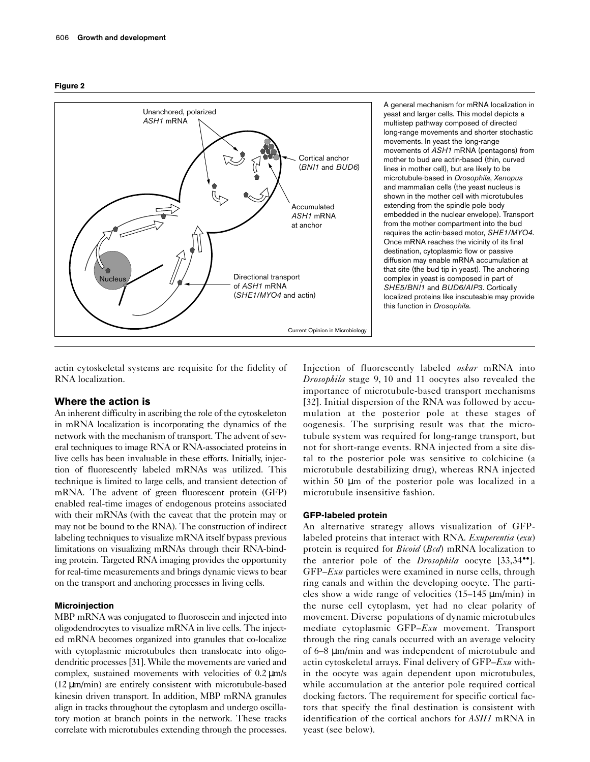



A general mechanism for mRNA localization in yeast and larger cells. This model depicts a multistep pathway composed of directed long-range movements and shorter stochastic movements. In yeast the long-range movements of *ASH1* mRNA (pentagons) from mother to bud are actin-based (thin, curved lines in mother cell), but are likely to be microtubule-based in *Drosophila*, *Xenopus* and mammalian cells (the yeast nucleus is shown in the mother cell with microtubules extending from the spindle pole body embedded in the nuclear envelope). Transport from the mother compartment into the bud requires the actin-based motor, *SHE1/MYO4*. Once mRNA reaches the vicinity of its final destination, cytoplasmic flow or passive diffusion may enable mRNA accumulation at that site (the bud tip in yeast). The anchoring complex in yeast is composed in part of *SHE5/BNI1* and *BUD6/AIP3*. Cortically localized proteins like inscuteable may provide this function in *Drosophila*.

actin cytoskeletal systems are requisite for the fidelity of RNA localization.

# **Where the action is**

An inherent difficulty in ascribing the role of the cytoskeleton in mRNA localization is incorporating the dynamics of the network with the mechanism of transport. The advent of several techniques to image RNA or RNA-associated proteins in live cells has been invaluable in these efforts. Initially, injection of fluorescently labeled mRNAs was utilized. This technique is limited to large cells, and transient detection of mRNA. The advent of green fluorescent protein (GFP) enabled real-time images of endogenous proteins associated with their mRNAs (with the caveat that the protein may or may not be bound to the RNA). The construction of indirect labeling techniques to visualize mRNA itself bypass previous limitations on visualizing mRNAs through their RNA-binding protein. Targeted RNA imaging provides the opportunity for real-time measurements and brings dynamic views to bear on the transport and anchoring processes in living cells.

## **Microinjection**

MBP mRNA was conjugated to fluoroscein and injected into oligodendrocytes to visualize mRNA in live cells. The injected mRNA becomes organized into granules that co-localize with cytoplasmic microtubules then translocate into oligodendritic processes [31]. While the movements are varied and complex, sustained movements with velocities of 0.2 µm/s (12 µm/min) are entirely consistent with microtubule-based kinesin driven transport. In addition, MBP mRNA granules align in tracks throughout the cytoplasm and undergo oscillatory motion at branch points in the network. These tracks correlate with microtubules extending through the processes.

Injection of fluorescently labeled *oskar* mRNA into *Drosophila* stage 9, 10 and 11 oocytes also revealed the importance of microtubule-based transport mechanisms [32]. Initial dispersion of the RNA was followed by accumulation at the posterior pole at these stages of oogenesis. The surprising result was that the microtubule system was required for long-range transport, but not for short-range events. RNA injected from a site distal to the posterior pole was sensitive to colchicine (a microtubule destabilizing drug), whereas RNA injected within 50  $\mu$ m of the posterior pole was localized in a microtubule insensitive fashion.

## **GFP-labeled protein**

An alternative strategy allows visualization of GFPlabeled proteins that interact with RNA. *Exuperentia* (*exu*) protein is required for *Bicoid* (*Bcd*) mRNA localization to the anterior pole of the *Drosophila* oocyte [33,34••]. GFP–*Exu* particles were examined in nurse cells, through ring canals and within the developing oocyte. The particles show a wide range of velocities (15–145 µm/min) in the nurse cell cytoplasm, yet had no clear polarity of movement. Diverse populations of dynamic microtubules mediate cytoplasmic GFP–*Exu* movement. Transport through the ring canals occurred with an average velocity of 6–8 µm/min and was independent of microtubule and actin cytoskeletal arrays. Final delivery of GFP–*Exu* within the oocyte was again dependent upon microtubules, while accumulation at the anterior pole required cortical docking factors. The requirement for specific cortical factors that specify the final destination is consistent with identification of the cortical anchors for *ASH1* mRNA in yeast (see below).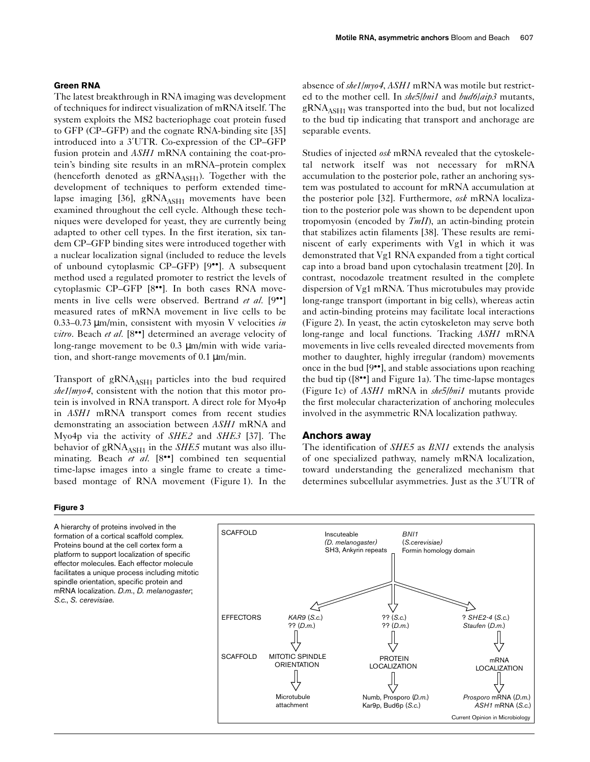## **Green RNA**

The latest breakthrough in RNA imaging was development of techniques for indirect visualization of mRNA itself. The system exploits the MS2 bacteriophage coat protein fused to GFP (CP–GFP) and the cognate RNA-binding site [35] introduced into a 3′UTR. Co-expression of the CP–GFP fusion protein and *ASH1* mRNA containing the coat-protein's binding site results in an mRNA–protein complex (henceforth denoted as  $gRNA<sub>ASH1</sub>$ ). Together with the development of techniques to perform extended timelapse imaging [36],  $gRNA<sub>ASH1</sub>$  movements have been examined throughout the cell cycle. Although these techniques were developed for yeast, they are currently being adapted to other cell types. In the first iteration, six tandem CP–GFP binding sites were introduced together with a nuclear localization signal (included to reduce the levels of unbound cytoplasmic CP–GFP) [9••]. A subsequent method used a regulated promoter to restrict the levels of cytoplasmic CP–GFP [8••]. In both cases RNA movements in live cells were observed. Bertrand *et al.* [9••] measured rates of mRNA movement in live cells to be 0.33–0.73 µm/min, consistent with myosin V velocities *in vitro*. Beach *et al.* [8••] determined an average velocity of long-range movement to be 0.3 µm/min with wide variation, and short-range movements of 0.1 µm/min.

Transport of  $gRNA<sub>ASH1</sub>$  particles into the bud required *she1*/*myo4*, consistent with the notion that this motor protein is involved in RNA transport. A direct role for Myo4p in *ASH1* mRNA transport comes from recent studies demonstrating an association between *ASH1* mRNA and Myo4p via the activity of *SHE2* and *SHE3* [37]. The behavior of  $gRNA<sub>ASH1</sub>$  in the *SHE5* mutant was also illuminating. Beach *et al.* [8<sup>••</sup>] combined ten sequential time-lapse images into a single frame to create a timebased montage of RNA movement (Figure 1). In the

## **Figure 3**

A hierarchy of proteins involved in the formation of a cortical scaffold complex. Proteins bound at the cell cortex form a platform to support localization of specific effector molecules. Each effector molecule facilitates a unique process including mitotic spindle orientation, specific protein and mRNA localization. *D.m.*, *D. melanogaster*; *S.c.*, *S. cerevisiae*.

absence of *she1/myo4*, *ASH1* mRNA was motile but restricted to the mother cell. In *she5*/*bni1* and *bud6*/*aip3* mutants,  $\text{gRNA}_{\text{ASH1}}$  was transported into the bud, but not localized to the bud tip indicating that transport and anchorage are separable events.

Studies of injected *osk* mRNA revealed that the cytoskeletal network itself was not necessary for mRNA accumulation to the posterior pole, rather an anchoring system was postulated to account for mRNA accumulation at the posterior pole [32]. Furthermore, *osk* mRNA localization to the posterior pole was shown to be dependent upon tropomyosin (encoded by *TmII*), an actin-binding protein that stabilizes actin filaments [38]. These results are reminiscent of early experiments with Vg1 in which it was demonstrated that Vg1 RNA expanded from a tight cortical cap into a broad band upon cytochalasin treatment [20]. In contrast, nocodazole treatment resulted in the complete dispersion of Vg1 mRNA. Thus microtubules may provide long-range transport (important in big cells), whereas actin and actin-binding proteins may facilitate local interactions (Figure 2). In yeast, the actin cytoskeleton may serve both long-range and local functions. Tracking *ASH1* mRNA movements in live cells revealed directed movements from mother to daughter, highly irregular (random) movements once in the bud [9••], and stable associations upon reaching the bud tip  $([8\bullet\bullet])$  and Figure 1a). The time-lapse montages (Figure 1c) of *ASH1* mRNA in *she5/bni1* mutants provide the first molecular characterization of anchoring molecules involved in the asymmetric RNA localization pathway.

## **Anchors away**

The identification of *SHE5* as *BNI1* extends the analysis of one specialized pathway, namely mRNA localization, toward understanding the generalized mechanism that determines subcellular asymmetries. Just as the 3′UTR of

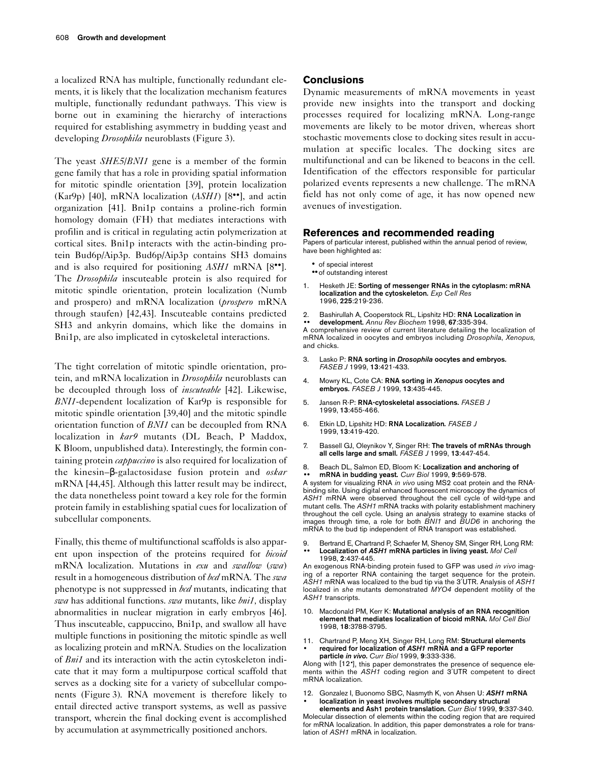a localized RNA has multiple, functionally redundant elements, it is likely that the localization mechanism features multiple, functionally redundant pathways. This view is borne out in examining the hierarchy of interactions required for establishing asymmetry in budding yeast and developing *Drosophila* neuroblasts (Figure 3).

The yeast *SHE5*/*BNI1* gene is a member of the formin gene family that has a role in providing spatial information for mitotic spindle orientation [39], protein localization (Kar9p) [40], mRNA localization (*ASH1*) [8••], and actin organization [41]. Bni1p contains a proline-rich formin homology domain (FH) that mediates interactions with profilin and is critical in regulating actin polymerization at cortical sites. Bni1p interacts with the actin-binding protein Bud6p/Aip3p. Bud6p/Aip3p contains SH3 domains and is also required for positioning *ASH1* mRNA [8••]. The *Drosophila* inscuteable protein is also required for mitotic spindle orientation, protein localization (Numb and prospero) and mRNA localization (*prospero* mRNA through staufen) [42,43]. Inscuteable contains predicted SH3 and ankyrin domains, which like the domains in Bni1p, are also implicated in cytoskeletal interactions.

The tight correlation of mitotic spindle orientation, protein, and mRNA localization in *Drosophila* neuroblasts can be decoupled through loss of *inscuteable* [42]. Likewise, *BNI1*-dependent localization of Kar9p is responsible for mitotic spindle orientation [39,40] and the mitotic spindle orientation function of *BNI1* can be decoupled from RNA localization in *kar9* mutants (DL Beach, P Maddox, K Bloom, unpublished data). Interestingly, the formin containing protein *cappuccino* is also required for localization of the kinesin–β-galactosidase fusion protein and *oskar* mRNA [44,45]. Although this latter result may be indirect, the data nonetheless point toward a key role for the formin protein family in establishing spatial cues for localization of subcellular components.

Finally, this theme of multifunctional scaffolds is also apparent upon inspection of the proteins required for *bicoid* mRNA localization. Mutations in *exu* and *swallow* (*swa*) result in a homogeneous distribution of *bcd* mRNA. The *swa* phenotype is not suppressed in *bcd* mutants, indicating that *swa* has additional functions. *swa* mutants, like *bni1,* display abnormalities in nuclear migration in early embryos [46]. Thus inscuteable, cappuccino, Bni1p, and swallow all have multiple functions in positioning the mitotic spindle as well as localizing protein and mRNA. Studies on the localization of *Bni1* and its interaction with the actin cytoskeleton indicate that it may form a multipurpose cortical scaffold that serves as a docking site for a variety of subcellular components (Figure 3). RNA movement is therefore likely to entail directed active transport systems, as well as passive transport, wherein the final docking event is accomplished by accumulation at asymmetrically positioned anchors.

# **Conclusions**

Dynamic measurements of mRNA movements in yeast provide new insights into the transport and docking processes required for localizing mRNA. Long-range movements are likely to be motor driven, whereas short stochastic movements close to docking sites result in accumulation at specific locales. The docking sites are multifunctional and can be likened to beacons in the cell. Identification of the effectors responsible for particular polarized events represents a new challenge. The mRNA field has not only come of age, it has now opened new avenues of investigation.

## **References and recommended reading**

Papers of particular interest, published within the annual period of review, have been highlighted as:

- of special interest
- ••of outstanding interest
- 1. Hesketh JE: **Sorting of messenger RNAs in the cytoplasm: mRNA localization and the cytoskeleton***. Exp Cell Res* 1996, **225**:219-236.
- 2. Bashirullah A, Cooperstock RL, Lipshitz HD: **RNA Localization in**
- •• **development.** *Annu Rev Biochem* 1998, **67**:335-394.

A comprehensive review of current literature detailing the localization of mRNA localized in oocytes and embryos including *Drosophila*, *Xenopus,* and chicks.

- 3. Lasko P: **RNA sorting in** *Drosophila* **oocytes and embryos***. FASEB J* 1999, **13**:421-433.
- 4. Mowry KL, Cote CA: **RNA sorting in** *Xenopus* **oocytes and embryos***. FASEB J* 1999, **13**:435-445.
- 5. Jansen R-P: **RNA-cytoskeletal associations***. FASEB J* 1999, **13**:455-466.
- 6. Etkin LD, Lipshitz HD: **RNA Localization***. FASEB J* 1999, **13**:419-420.
- 7. Bassell GJ, Oleynikov Y, Singer RH: **The travels of mRNAs through all cells large and small***. FASEB J* 1999, **13**:447-454.
- 8. Beach DL, Salmon ED, Bloom K: **Localization and anchoring of** •• **mRNA in budding yeast***. Curr Biol* 1999, **9**:569-578.

A system for visualizing RNA *in vivo* using MS2 coat protein and the RNAbinding site. Using digital enhanced fluorescent microscopy the dynamics of *ASH1* mRNA were observed throughout the cell cycle of wild-type and mutant cells. The *ASH1* mRNA tracks with polarity establishment machinery throughout the cell cycle. Using an analysis strategy to examine stacks of images through time, a role for both *BNI1* and *BUD6* in anchoring the mRNA to the bud tip independent of RNA transport was established.

9. Bertrand E, Chartrand P, Schaefer M, Shenoy SM, Singer RH, Long RM: •• **Localization of** *ASH1* **mRNA particles in living yeast.** *Mol Cell* 1998, **2**:437-445.

An exogenous RNA-binding protein fused to GFP was used *in vivo* imaging of a reporter RNA containing the target sequence for the protein. *ASH1* mRNA was localized to the bud tip via the 3′UTR. Analysis of *ASH1* localized in *she* mutants demonstrated *MYO4* dependent motility of the *ASH1* transcripts.

- 10. Macdonald PM, Kerr K: **Mutational analysis of an RNA recognition element that mediates localization of bicoid mRNA.** *Mol Cell Biol* 1998, **18**:3788-3795.
- 11. Chartrand P, Meng XH, Singer RH, Long RM: **Structural elements** • **required for localization of** *ASH1* **mRNA and a GFP reporter particle** *in vivo***.** *Curr Biol* 1999, **9**:333-336.

Along with [12•], this paper demonstrates the presence of sequence elements within the *ASH1* coding region and 3′UTR competent to direct mRNA localization.

12. Gonzalez I, Buonomo SBC, Nasmyth K, von Ahsen U: *ASH1* **mRNA** • **localization in yeast involves multiple secondary structural**

**elements and Ash1 protein translation.** *Curr Biol* 1999, **9**:337-340. Molecular dissection of elements within the coding region that are required for mRNA localization. In addition, this paper demonstrates a role for translation of *ASH1* mRNA in localization.